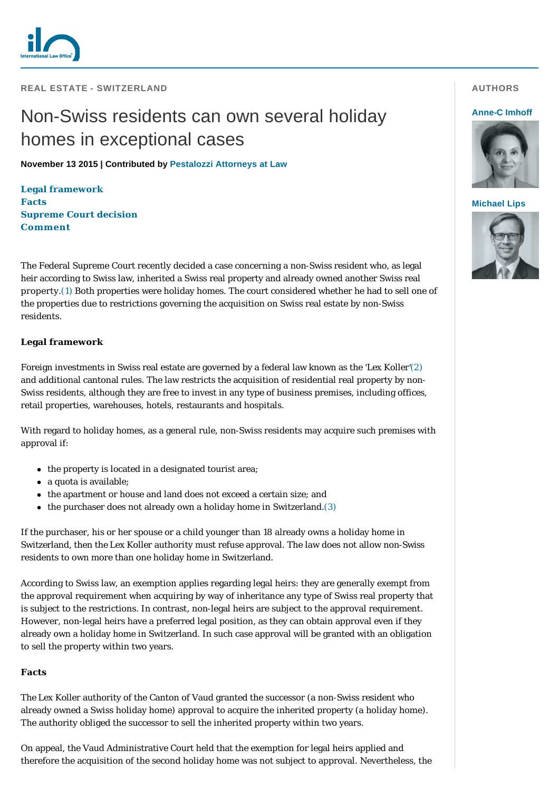

**REAL ESTATE - SWITZERLAND** 

# Non-Swiss residents can own several holiday homes in exceptional cases

**November 13 2015 | Contributed by [Pestalozzi Attorneys at Law](http://www.internationallawoffice.com/gesr.ashx?l=7PYEHMW)**

**[Legal framework](#page-0-0) [Facts](#page-0-1) [Supreme Court decision](#page-1-0) [Comment](#page-1-1)**

The Federal Supreme Court recently decided a case concerning a non-Swiss resident who, as legal heir according to Swiss law, inherited a Swiss real property and already owned another Swiss real property.[\(1\)](#page-1-2) Both properties were holiday homes. The court considered whether he had to sell one of the properties due to restrictions governing the acquisition on Swiss real estate by non-Swiss residents.

## <span id="page-0-0"></span>**Legal framework**

Foreign investments in Swiss real estate are governed by a federal law known as the '*Lex Koller*'[\(2\)](#page-1-3) and additional cantonal rules. The law restricts the acquisition of residential real property by non-Swiss residents, although they are free to invest in any type of business premises, including offices, retail properties, warehouses, hotels, restaurants and hospitals.

With regard to holiday homes, as a general rule, non-Swiss residents may acquire such premises with approval if:

- $\bullet$  the property is located in a designated tourist area;
- a quota is available;
- the apartment or house and land does not exceed a certain size; and
- $\bullet$  the purchaser does not already own a holiday home in Switzerland.[\(3\)](#page-1-4)

If the purchaser, his or her spouse or a child younger than 18 already owns a holiday home in Switzerland, then the *Lex Koller* authority must refuse approval. The law does not allow non-Swiss residents to own more than one holiday home in Switzerland.

According to Swiss law, an exemption applies regarding legal heirs: they are generally exempt from the approval requirement when acquiring by way of inheritance any type of Swiss real property that is subject to the restrictions. In contrast, non-legal heirs are subject to the approval requirement. However, non-legal heirs have a preferred legal position, as they can obtain approval even if they already own a holiday home in Switzerland. In such case approval will be granted with an obligation to sell the property within two years.

## <span id="page-0-1"></span>**Facts**

The *Lex Koller* authority of the Canton of Vaud granted the successor (a non-Swiss resident who already owned a Swiss holiday home) approval to acquire the inherited property (a holiday home). The authority obliged the successor to sell the inherited property within two years.

On appeal, the Vaud Administrative Court held that the exemption for legal heirs applied and therefore the acquisition of the second holiday home was not subject to approval. Nevertheless, the

## **AUTHORS**

### **[Anne-C Imhoff](http://www.internationallawoffice.com/gesr.ashx?l=7PYEHN2)**



#### **[Michael Lips](http://www.internationallawoffice.com/gesr.ashx?l=7PYEHN8)**